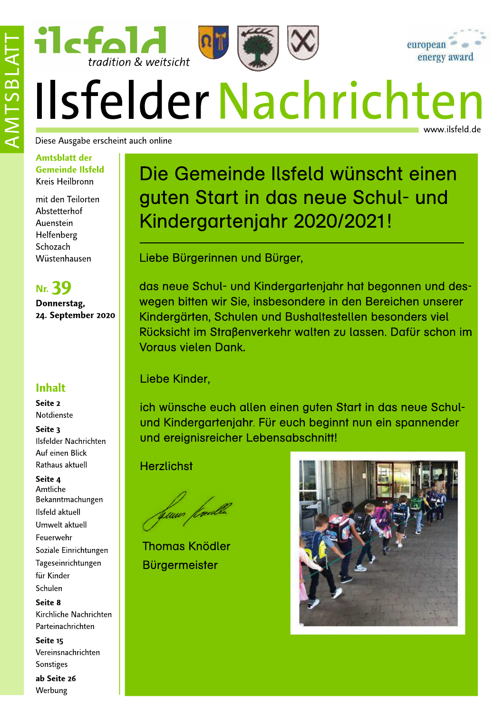

# Ilsfelder Nachrichten www.ilsfeld.de

Diese Ausgabe erscheint auch online

ilcfald

 $\frac{1}{1}$  tradition & weitsicht

#### **Amtsblatt der Gemeinde Ilsfeld** Kreis Heilbronn

mit den Teilorten Abstetterhof Auenstein Helfenberg Schozach Wüstenhausen

**Nr. 39** Donnerstag, 24. September 2020

### **Inhalt**

Seite 2 Notdienste

Seite 3 Ilsfelder Nachrichten Auf einen Blick Rathaus aktuell

#### Seite 4 Amtliche Bekanntmachungen Ilsfeld aktuell Umwelt aktuell Feuerwehr

Soziale Einrichtungen Tageseinrichtungen für Kinder Schulen

Seite 8 Kirchliche Nachrichten Parteinachrichten

Seite 15 Vereinsnachrichten Sonstiges

ab Seite 26 Werbung

# Die Gemeinde Ilsfeld wünscht einen guten Start in das neue Schul- und Kindergartenjahr 2020/2021!

Liebe Bürgerinnen und Bürger,

das neue Schul- und Kindergartenighr hat begonnen und deswegen bitten wir Sie, insbesondere in den Bereichen unserer Kindergärten, Schulen und Bushaltestellen besonders viel Rücksicht im Straßenverkehr walten zu lassen. Dafür schon im **Voraus vielen Dank.** 

Liebe Kinder,

ich wünsche euch allen einen guten Start in das neue Schulund Kindergartenjahr. Für euch beginnt nun ein spannender und ereignisreicher Lebensabschnitt!

**Herzlichst** 

huwo /buw

**Thomas Knödler Bürgermeister** 

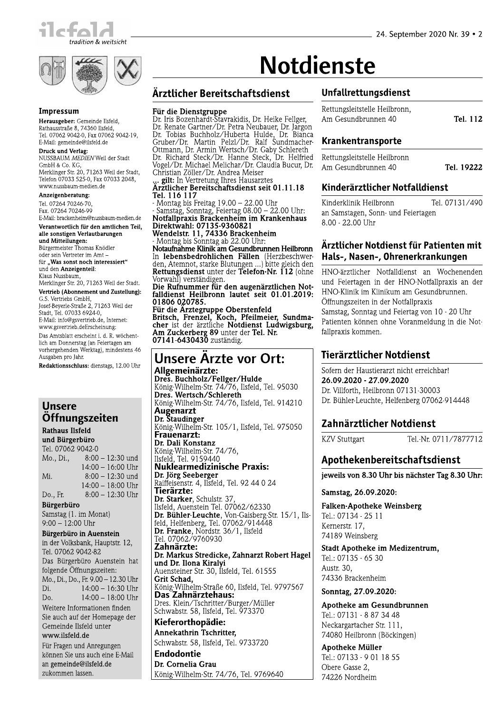



#### Impressum

Herausgeber: Gemeinde Ilsfeld, Rathausstraße 8, 74360 Ilsfeld, Tel. 07062 9042-0, Fax 07062 9042-19, E-Mail: gemeinde@ilsfeld.de

ETWEIN, generated materials<br> **NUSSBAUM MEDIEN Weil der Stadt**<br>
GmbH & Co. KG,<br>
Merklinger Str. 20, 71263 Weil der Stadt,<br>
Telefon 07033 525-0, Fax 07033 2048, www.nussbaum-medien.de

Anzeigenberatung:

Tel. 07264 70246-70. Fax. 07264 70246-99 E-Mail: brackenheim@nussbaum-medien.de

Verantwortlich für den amtlichen Teil, alle sonstigen Verlautbarungen und Mitteilungen:

Bürgermeister Thomas Knödler oder sein Vertreter im Amtfür "Was sonst noch interessiert" und den Anzeigenteil: Klaus Nussbaum,

Merklinger Str. 20, 71263 Weil der Stadt.

Vertrieb (Abonnement und Zustellung): G.S. Vertriebs GmbH, Josef-Beyerle-Straße 2, 71263 Weil der

Stadt, Tel. 07033 6924-0, E-Mail: info@gsvertrieb.de, Internet: www.gsvertrieb.deErscheinung: Das Amtsblatt erscheint i. d. R. wöchentlich am Donnerstag (an Feiertagen am

vorhergehenden Werktag), mindestens 46 Ausgaben pro Jahr.

Redaktionsschluss: dienstags, 12.00 Uhr

#### **Unsere** Öffnungszeiten **Rathaus Ilsfeld**

und Bürgerbüro Tel. 07062 9042-0  $8:00 - 12:30$  und Mo., Di.,  $14:00 - 16:00$  Uhr Mi.  $8:00 - 12:30$  und  $14:00 - 18:00$  Uhr Do., Fr.  $8:00 - 12:30$  Uhr Bürgerbüro Samstag (1. im Monat)  $9:00 - 12:00$  Uhr Bürgerbüro in Auenstein in der Volksbank, Hauptstr. 12, Tel. 07062 9042-82 Das Bürgerbüro Auenstein hat folgende Öffnungszeiten: Mo., Di., Do., Fr. 9.00 - 12.30 Uhr  $14:00 - 16:30$  Uhr Di.  $14:00 - 18:00$  Uhr  $Do$ Weitere Informationen finden Sie auch auf der Homepage der Gemeinde Ilsfeld unter www.ilsfeld.de Für Fragen und Anregungen

können Sie uns auch eine E-Mail an gemeinde@ilsfeld.de zukommen lassen.

# **Notdienste**

### Ärztlicher Bereitschaftsdienst

#### Für die Dienstgruppe

**rur aie Dienstgruppe**<br>Dr. Iris Bozenhardt-Stavrakidis, Dr. Heike Fellger,<br>Dr. Renate Gartner/Dr. Petra Neubauer, Dr. Jargon<br>Dr. Tobias Buchholz/Huberta Hulde, Dr. Bianca<br>Gruber/Dr. Martin Pelzl/Dr. Ralf Sundmacher-<br>Ottman Christian Zöller/Dr. Andrea Meiser we be a sensor with minimal messer<br>
... gilt: In Vertretung Ihres Hausarztes<br>
Arztlicher Persite J

rztlicher Bereitschaftsdienst seit 01.11.18 Tel. 116 117

- Montag bis Freitag 19.00 – 22.00 Uhr<br>- Samstag, Sonntag, Feiertag 08.00 – 22.00 Uhr: Notfallpraxis Brackenheim im Krankenhaus Direktwahl: 07135-9360821

Die Kwami. V7 13336 Brackenheim<br>- Montag bis Sonntag ab 22.00 Uhr:<br>Notaufnahme Klinik am Gesundbrunnen Heilbronn In lebensbedrohlichen Fällen (Herzbeschwerden, Atemnot, starke Blutungen ...) bitte gleich den Rettungsdienst unter der Telefon-Nr. 112 (ohne Vorwahl) verständigen. Die Rufnummer für den augenärztlichen Not-

falldienst Heilbronn lautet seit 01.01.2019: 01806 020785.

Für die Ärztegruppe Oberstenfeld<br>Britsch, Frenzel, Koch, Pfeilmeier, Sundmacher ist der ärztliche Notdienst Ludwigsburg, Am Zuckerberg 89 unter der Tel. Nr.<br>07141-6430430 zuständig.

### **Unsere Arzte vor Ort:**

Allgemeinärzte: Dres. Buchholz/Fellger/Hulde König-Wilhelm-Str. 74/76, Ilsfeld, Tel. 95030 **Dres. Wertsch/Schlereth**<br>**Dres. Wertsch/Schlereth**<br>König-Wilhelm-Str. 74/76, Ilsfeld, Tel. 914210 Augenarzt Dr. Staudinger König-Wilhelm-Str. 105/1, Ilsfeld, Tel. 975050 Frauenarzt: Dr. Dali Konstanz König-Wilhelm-Str. 74/76. Ilsfeld, Tel. 9159440 **Nuklearmedizinische Praxis:** Dr. Jörg Seeberger Raiffeisenstr. 4, Ilsfeld, Tel. 92 44 0 24 Tierärzte: Dr. Starker, Schulstr. 37 Ilsfeld. Auenstein Tel. 07062/62330 **Dr. Bühler-Leuchte, Von-Gaisberg-Str. 15/1, Ils-**Feld, Helfenberg, Tel. 07062/914448<br>Dr. Franke, Nordstr. 36/1, Ilsfeld Tel. 07062/9760930 Zahnärzte: Dr. Markus Stredicke, Zahnarzt Robert Hagel und Dr. Ilona Kiralyi Auensteiner Str. 30. Ilsfeld. Tel. 61555 Grit Schad, König-Wilhelm-Straße 60, Ilsfeld, Tel. 9797567 Das Zahnärztehaus: Dres. Klein/Tschritter/Burger/Müller<br>Schwabstr. 58, Ilsfeld, Tel. 973370 Kieferorthopädie:

Annekathrin Tschritter, Schwabstr. 58, Ilsfeld, Tel. 9733720

Endodontie Dr. Cornelia Grau König-Wilhelm-Str. 74/76, Tel. 9769640

#### Unfallrettungsdienst

Rettungsleitstelle Heilbronn, Am Gesundbrunnen 40 Tel. 112

#### Krankentransporte

| Rettungsleitstelle Heilbronn |            |
|------------------------------|------------|
| Am Gesundbrunnen 40          | Tel. 19222 |

#### Kinderärztlicher Notfalldienst

Tel. 07131/490 Kinderklinik Heilbronn an Samstagen, Sonn- und Feiertagen 8.00 - 22.00 Uhr

#### Ärztlicher Notdienst für Patienten mit Hals-, Nasen-, Ohrenerkrankungen

HNO-ärztlicher Notfalldienst an Wochenenden und Feiertagen in der HNO-Notfallpraxis an der HNO-Klinik im Klinikum am Gesundbrunnen. Öffnungszeiten in der Notfallpraxis Samstag, Sonntag und Feiertag von 10 - 20 Uhr Patienten können ohne Voranmeldung in die Notfallpraxis kommen.

#### Tierärztlicher Notdienst

Sofern der Haustierarzt nicht erreichbar! 26.09.2020 - 27.09.2020 Dr. Villforth, Heilbronn 07131-30003 Dr. Bühler-Leuchte, Helfenberg 07062-914448

#### Zahnärztlicher Notdienst

**KZV Stuttgart** 

Tel.-Nr. 0711/7877712

#### Apothekenbereitschaftsdienst

jeweils von 8.30 Uhr bis nächster Tag 8.30 Uhr:

#### Samstag, 26.09.2020:

Falken-Apotheke Weinsberg Tel.: 07134 - 25 11 Kernerstr. 17. 74189 Weinsberg

Stadt Apotheke im Medizentrum, Tel.: 07135 - 65 30 Austr. 30, 74336 Brackenheim

Sonntag, 27.09.2020:

Apotheke am Gesundbrunnen Tel.: 07131 - 8 87 34 48 Neckargartacher Str. 111, 74080 Heilbronn (Böckingen)

**Apotheke Müller** Tel.: 07133 - 9 01 18 55 Obere Gasse 2, 74226 Nordheim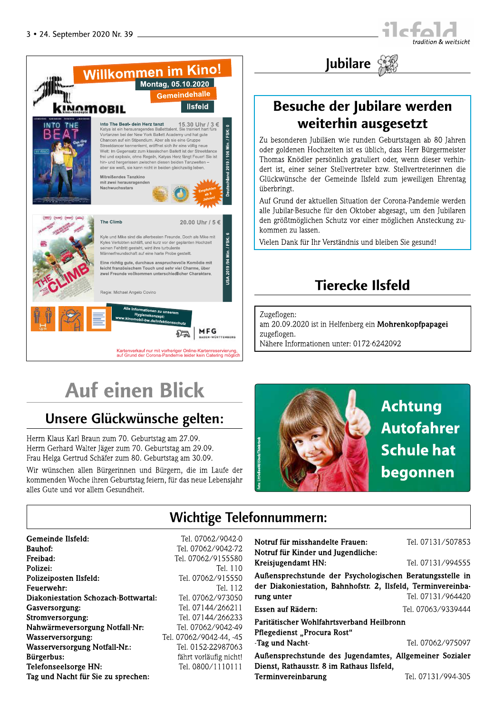



# Besuche der Jubilare werden weiterhin ausgesetzt

Jubilare

Zu besonderen Jubiläen wie runden Geburtstagen ab 80 Jahren oder goldenen Hochzeiten ist es üblich, dass Herr Bürgermeister Thomas Knödler persönlich gratuliert oder, wenn dieser verhindert ist, einer seiner Stellvertreter bzw. Stellvertreterinnen die Glückwünsche der Gemeinde Ilsfeld zum jeweiligen Ehrentag überbringt.

Auf Grund der aktuellen Situation der Corona-Pandemie werden alle Jubilar-Besuche für den Oktober abgesagt, um den Jubilaren den größtmöglichen Schutz vor einer möglichen Ansteckung zukommen zu lassen.

Vielen Dank für Ihr Verständnis und bleiben Sie gesund!

# **Tierecke Ilsfeld**

Zugeflogen: am 20.09.2020 ist in Helfenberg ein Mohrenkopfpapagei zugeflogen. Nähere Informationen unter: 0172-6242092

# **Auf einen Blick**

# Unsere Glückwünsche gelten:

Herrn Klaus Karl Braun zum 70. Geburtstag am 27.09. Herrn Gerhard Walter Jäger zum 70. Geburtstag am 29.09. Frau Helga Gertrud Schäfer zum 80. Geburtstag am 30.09.

Wir wünschen allen Bürgerinnen und Bürgern, die im Laufe der kommenden Woche ihren Geburtstag feiern, für das neue Lebensjahr alles Gute und vor allem Gesundheit.



# **Wichtige Telefonnummern:**

| Gemeinde Ilsfeld:<br><b>Bauhof:</b>  | Tel. 07062/9042-0<br>Tel. 07062/9042-72 | Notruf für misshandelte Frauen:<br>Notruf für Kinder und Jugendliche: | Tel. 07131/507853  |
|--------------------------------------|-----------------------------------------|-----------------------------------------------------------------------|--------------------|
| Freibad:                             | Tel. 07062/9155580                      | Kreisjugendamt HN:                                                    | Tel. 07131/994555  |
| Polizei:                             | Tel. 110                                | Außensprechstunde der Psychologischen Beratungsstelle in              |                    |
| Polizeiposten Ilsfeld:               | Tel. 07062/915550                       | der Diakoniestation, Bahnhofstr. 2, Ilsfeld, Terminvereinba-          |                    |
| Feuerwehr:                           | Tel. 112                                |                                                                       |                    |
| Diakoniestation Schozach-Bottwartal: | Tel. 07062/973050                       | rung unter                                                            | Tel. 07131/964420  |
| Gasversorgung:                       | Tel. 07144/266211                       | Essen auf Rädern:                                                     | Tel. 07063/9339444 |
| Stromversorgung:                     | Tel. 07144/266233                       | Paritätischer Wohlfahrtsverband Heilbronn                             |                    |
| Nahwärmeversorgung Notfall-Nr:       | Tel. 07062/9042-49                      |                                                                       |                    |
| Wasserversorgung:                    | Tel. 07062/9042-44, -45                 | Pflegedienst "Procura Rost"                                           |                    |
| <b>Wasserversorgung Notfall-Nr.:</b> | Tel. 0152-22987063                      | -Tag und Nacht-                                                       | Tel. 07062/975097  |
| Bürgerbus:                           | fährt vorläufig nicht!                  | Außensprechstunde des Jugendamtes, Allgemeiner Sozialer               |                    |
| Telefonseelsorge HN:                 | Tel. 0800/1110111                       | Dienst, Rathausstr. 8 im Rathaus Ilsfeld,                             |                    |
| Tag und Nacht für Sie zu sprechen:   |                                         | Terminvereinbarung                                                    | Tel. 07131/994-305 |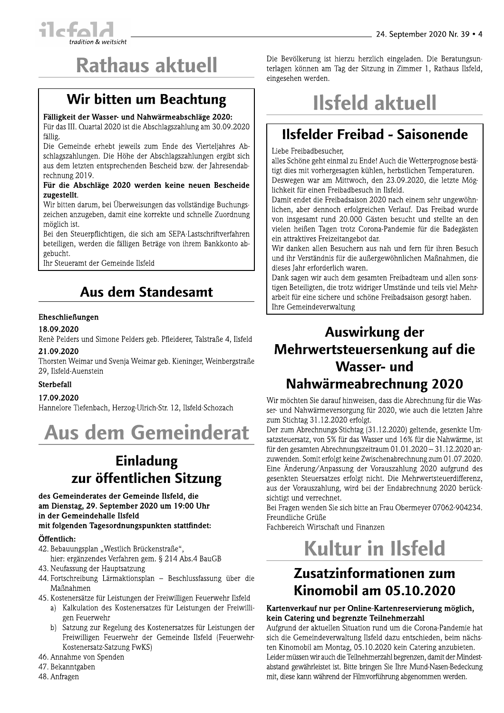

# **Rathaus aktuell**

# Wir bitten um Beachtung

#### Fälligkeit der Wasser- und Nahwärmeabschläge 2020:

Für das III. Quartal 2020 ist die Abschlagszahlung am 30.09.2020 fällig.

Die Gemeinde erhebt jeweils zum Ende des Vierteljahres Abschlagszahlungen. Die Höhe der Abschlagszahlungen ergibt sich aus dem letzten entsprechenden Bescheid bzw. der Jahresendabrechnung 2019.

#### Für die Abschläge 2020 werden keine neuen Bescheide zugestellt.

Wir bitten darum, bei Überweisungen das vollständige Buchungszeichen anzugeben, damit eine korrekte und schnelle Zuordnung möglich ist.

Bei den Steuerpflichtigen, die sich am SEPA-Lastschriftverfahren beteiligen, werden die fälligen Beträge von ihrem Bankkonto abgebucht.

Ihr Steueramt der Gemeinde Ilsfeld

## **Aus dem Standesamt**

#### Eheschließungen

18.09.2020

Renè Pelders und Simone Pelders geb. Pfleiderer, Talstraße 4, Ilsfeld 21.09.2020

Thorsten Weimar und Svenja Weimar geb. Kieninger, Weinbergstraße 29. Ilsfeld-Auenstein

#### **Sterbefall**

#### 17.09.2020

Hannelore Tiefenbach, Herzog-Ulrich-Str. 12, Ilsfeld-Schozach



## Einladung zur öffentlichen Sitzung

#### des Gemeinderates der Gemeinde Ilsfeld, die am Dienstag, 29. September 2020 um 19:00 Uhr in der Gemeindehalle Ilsfeld

#### mit folgenden Tagesordnungspunkten stattfindet:

#### Öffentlich:

- 42. Bebauungsplan "Westlich Brückenstraße",
	- hier: ergänzendes Verfahren gem. § 214 Abs.4 BauGB
- 43. Neufassung der Hauptsatzung
- 44. Fortschreibung Lärmaktionsplan Beschlussfassung über die Maßnahmen
- 45. Kostenersätze für Leistungen der Freiwilligen Feuerwehr Ilsfeld
	- a) Kalkulation des Kostenersatzes für Leistungen der Freiwilligen Feuerwehr
	- b) Satzung zur Regelung des Kostenersatzes für Leistungen der Freiwilligen Feuerwehr der Gemeinde Ilsfeld (Feuerwehr-Kostenersatz-Satzung FwKS)
- 46. Annahme von Spenden
- 47. Bekanntgaben
- 48. Anfragen

Die Bevölkerung ist hierzu herzlich eingeladen. Die Beratungsunterlagen können am Tag der Sitzung in Zimmer 1, Rathaus Ilsfeld, eingesehen werden.

# **Ilsfeld aktuell**

# **Ilsfelder Freibad - Saisonende**

Liebe Freibadbesucher.

alles Schöne geht einmal zu Ende! Auch die Wetterprognose bestätigt dies mit vorhergesagten kühlen, herbstlichen Temperaturen. Deswegen war am Mittwoch, den 23.09.2020, die letzte Möglichkeit für einen Freibadbesuch in Ilsfeld.

Damit endet die Freibadsaison 2020 nach einem sehr ungewöhnlichen, aber dennoch erfolgreichen Verlauf. Das Freibad wurde von insgesamt rund 20.000 Gästen besucht und stellte an den vielen heißen Tagen trotz Corona-Pandemie für die Badegästen ein attraktives Freizeitangebot dar.

Wir danken allen Besuchern aus nah und fern für ihren Besuch und ihr Verständnis für die außergewöhnlichen Maßnahmen, die dieses Jahr erforderlich waren.

Dank sagen wir auch dem gesamten Freibadteam und allen sonstigen Beteiligten, die trotz widriger Umstände und teils viel Mehrarbeit für eine sichere und schöne Freibadsaison gesorgt haben. Ihre Gemeindeverwaltung

# Auswirkung der Mehrwertsteuersenkung auf die **Wasser-und** Nahwärmeabrechnung 2020

Wir möchten Sie darauf hinweisen, dass die Abrechnung für die Wasser- und Nahwärmeversorgung für 2020, wie auch die letzten Jahre zum Stichtag 31.12.2020 erfolgt.

Der zum Abrechnungs-Stichtag (31.12.2020) geltende, gesenkte Umsatzsteuersatz, von 5% für das Wasser und 16% für die Nahwärme, ist für den gesamten Abrechnungszeitraum 01.01.2020 - 31.12.2020 anzuwenden. Somit erfolgt keine Zwischenabrechnung zum 01.07.2020. Eine Änderung/Anpassung der Vorauszahlung 2020 aufgrund des gesenkten Steuersatzes erfolgt nicht. Die Mehrwertsteuerdifferenz. aus der Vorauszahlung, wird bei der Endabrechnung 2020 berücksichtigt und verrechnet.

Bei Fragen wenden Sie sich bitte an Frau Obermeyer 07062-904234. Freundliche Grüße

Fachbereich Wirtschaft und Finanzen

# **Kultur in Ilsfeld**

## Zusatzinformationen zum Kinomobil am 05.10.2020

#### Kartenverkauf nur per Online-Kartenreservierung möglich, kein Catering und begrenzte Teilnehmerzahl

Aufgrund der aktuellen Situation rund um die Corona-Pandemie hat sich die Gemeindeverwaltung Ilsfeld dazu entschieden, beim nächsten Kinomobil am Montag, 05.10.2020 kein Catering anzubieten. Leider müssen wir auch die Teilnehmerzahl begrenzen, damit der Mindestabstand gewährleistet ist. Bitte bringen Sie Ihre Mund-Nasen-Bedeckung mit, diese kann während der Filmvorführung abgenommen werden.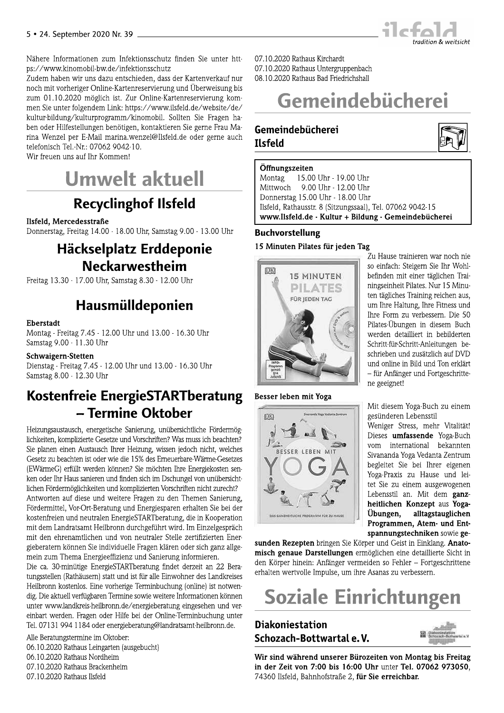

Nähere Informationen zum Infektionsschutz finden Sie unter https://www.kinomobil-bw.de/infektionsschutz

Zudem haben wir uns dazu entschieden, dass der Kartenverkauf nur noch mit vorheriger Online-Kartenreservierung und Überweisung bis zum 01.10.2020 möglich ist. Zur Online-Kartenreservierung kommen Sie unter folgendem Link: https://www.ilsfeld.de/website/de/ kultur-bildung/kulturprogramm/kinomobil. Sollten Sie Fragen haben oder Hilfestellungen benötigen, kontaktieren Sie gerne Frau Marina Wenzel per E-Mail marina.wenzel@Ilsfeld.de oder gerne auch telefonisch Tel.-Nr.: 07062 9042-10.

Wir freuen uns auf Ihr Kommen!



# **Recyclinghof Ilsfeld**

#### Ilsfeld, Mercedesstraße

Donnerstag, Freitag 14.00 - 18.00 Uhr, Samstag 9.00 - 13.00 Uhr

### Häckselplatz Erddeponie **Neckarwestheim**

Freitag 13.30 - 17.00 Uhr, Samstag 8.30 - 12.00 Uhr

### Hausmülldeponien

#### **Eberstadt**

Montag - Freitag 7.45 - 12.00 Uhr und 13.00 - 16.30 Uhr Samstag 9.00 - 11.30 Uhr

#### Schwaigern-Stetten

Dienstag - Freitag 7.45 - 12.00 Uhr und 13.00 - 16.30 Uhr Samstag 8.00 - 12.30 Uhr

## Kostenfreie EnergieSTARTberatung - Termine Oktober

Heizungsaustausch, energetische Sanierung, unübersichtliche Fördermöglichkeiten, komplizierte Gesetze und Vorschriften? Was muss ich beachten? Sie planen einen Austausch Ihrer Heizung, wissen jedoch nicht, welches Gesetz zu beachten ist oder wie die 15% des Erneuerbare-Wärme-Gesetzes (EWärmeG) erfüllt werden können? Sie möchten Ihre Energiekosten senken oder Ihr Haus sanieren und finden sich im Dschungel von unübersichtlichen Fördermöglichkeiten und komplizierten Vorschriften nicht zurecht? Antworten auf diese und weitere Fragen zu den Themen Sanierung, Fördermittel, Vor-Ort-Beratung und Energiesparen erhalten Sie bei der kostenfreien und neutralen EnergieSTARTberatung, die in Kooperation mit dem Landratsamt Heilbronn durchgeführt wird. Im Einzelgespräch mit den ehrenamtlichen und von neutraler Stelle zertifizierten Energieberatern können Sie individuelle Fragen klären oder sich ganz allgemein zum Thema Energieeffizienz und Sanierung informieren.

Die ca. 30-minütige EnergieSTARTberatung findet derzeit an 22 Beratungsstellen (Rathäusern) statt und ist für alle Einwohner des Landkreises Heilbronn kostenlos. Eine vorherige Terminbuchung (online) ist notwendig. Die aktuell verfügbaren Termine sowie weitere Informationen können unter www.landkreis-heilbronn.de/energieberatung eingesehen und vereinbart werden. Fragen oder Hilfe bei der Online-Terminbuchung unter Tel. 07131 994 1184 oder energieberatung@landratsamt-heilbronn.de.

Alle Beratungstermine im Oktober: 06.10.2020 Rathaus Leingarten (ausgebucht) 06.10.2020 Rathaus Nordheim 07.10.2020 Rathaus Brackenheim 07.10.2020 Rathaus Ilsfeld

07.10.2020 Rathaus Kirchardt 07.10.2020 Rathaus Untergruppenbach 08.10.2020 Rathaus Bad Friedrichshall

# Gemeindebücherei

#### Gemeindebücherei **Ilsfeld**



#### Öffnungszeiten

15.00 Uhr - 19.00 Uhr Montag Mittwoch 9.00 Uhr - 12.00 Uhr Donnerstag 15.00 Uhr - 18.00 Uhr Ilsfeld, Rathausstr. 8 (Sitzungssaal), Tel. 07062 9042-15 www.Ilsfeld.de - Kultur + Bildung - Gemeindebücherei

#### **Buchvorstellung**

15 Minuten Pilates für jeden Tag



#### Besser leben mit Yoga



Zu Hause trainieren war noch nie so einfach: Steigern Sie Ihr Wohlbefinden mit einer täglichen Trainingseinheit Pilates. Nur 15 Minuten tägliches Training reichen aus. um Ihre Haltung, Ihre Fitness und Thre Form zu verbessern. Die 50 Pilates-Übungen in diesem Buch werden detailliert in bebilderten Schritt-für-Schritt-Anleitungen beschrieben und zusätzlich auf DVD und online in Bild und Ton erklärt - für Anfänger und Fortgeschrittene geeignet!

Mit diesem Yoga-Buch zu einem gesünderen Lebensstil

Weniger Stress, mehr Vitalität! Dieses umfassende Yoga-Buch vom international bekannten Sivananda Yoga Vedanta Zentrum begleitet Sie bei Ihrer eigenen Yoga-Praxis zu Hause und leitet Sie zu einem ausgewogenen Lebensstil an. Mit dem ganzheitlichen Konzept aus Yoga-Übungen. alltagstauglichen Programmen, Atem- und Entspannungstechniken sowie ge-

sunden Rezepten bringen Sie Körper und Geist in Einklang. Anatomisch genaue Darstellungen ermöglichen eine detaillierte Sicht in den Körper hinein: Anfänger vermeiden so Fehler – Fortgeschrittene erhalten wertvolle Impulse, um ihre Asanas zu verbessern.

# **Soziale Einrichtungen**

#### **Diakoniestation** Schozach-Bottwartal e.V.

koniestation

Wir sind während unserer Bürozeiten von Montag bis Freitag in der Zeit von 7:00 bis 16:00 Uhr unter Tel. 07062 973050, 74360 Ilsfeld, Bahnhofstraße 2, für Sie erreichbar.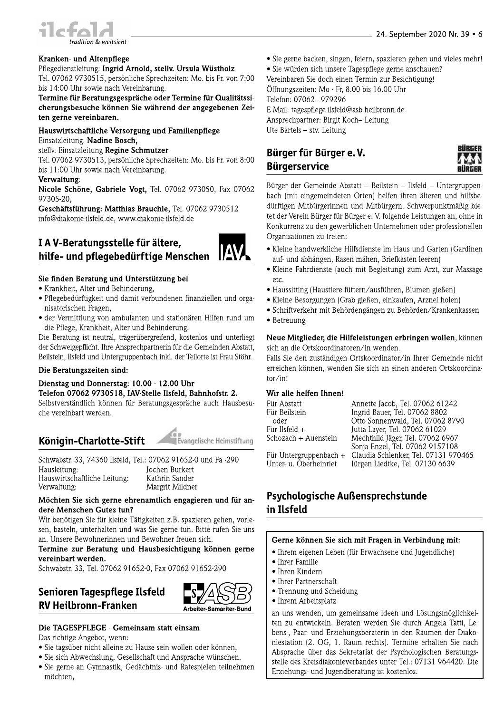

#### Kranken- und Altenpflege

#### Pflegedienstleitung: Ingrid Arnold, stellv. Ursula Wüstholz

Tel. 07062 9730515, persönliche Sprechzeiten: Mo. bis Fr. von 7:00 bis 14:00 Uhr sowie nach Vereinbarung.

#### Termine für Beratungsgespräche oder Termine für Qualitätssicherungsbesuche können Sie während der angegebenen Zeiten gerne vereinbaren.

#### Hauswirtschaftliche Versorgung und Familienpflege Einsatzleitung: Nadine Bosch.

stellv. Einsatzleitung Regine Schmutzer

Tel. 07062 9730513, persönliche Sprechzeiten: Mo. bis Fr. von 8:00 bis 11:00 Uhr sowie nach Vereinbarung.

#### Verwaltung:

Nicole Schöne, Gabriele Vogt, Tel. 07062 973050, Fax 07062 97305-20,

Geschäftsführung: Matthias Brauchle, Tel. 07062 9730512 info@diakonie-ilsfeld.de, www.diakonie-ilsfeld.de

#### IA V-Beratungsstelle für ältere, **IAV** hilfe- und pflegebedürftige Menschen

#### Sie finden Beratung und Unterstützung bei

- Krankheit, Alter und Behinderung,
- · Pflegebedürftigkeit und damit verbundenen finanziellen und organisatorischen Fragen,
- · der Vermittlung von ambulanten und stationären Hilfen rund um die Pflege, Krankheit, Alter und Behinderung.

Die Beratung ist neutral, trägerübergreifend, kostenlos und unterliegt der Schweigepflicht. Ihre Ansprechpartnerin für die Gemeinden Abstatt, Beilstein, Ilsfeld und Untergruppenbach inkl. der Teilorte ist Frau Stöhr.

#### Die Beratungszeiten sind:

#### Dienstag und Donnerstag: 10.00 - 12.00 Uhr Telefon 07062 9730518, IAV-Stelle Ilsfeld, Bahnhofstr. 2.

Selbstverständlich können für Beratungsgespräche auch Hausbesuche vereinbart werden.

### Königin-Charlotte-Stift

Schwabstr. 33, 74360 Ilsfeld, Tel.: 07062 91652-0 und Fa -290 Hausleitung: **Jochen Burkert** Hauswirtschaftliche Leitung: Kathrin Sander Verwaltung: Margrit Mildner

#### Möchten Sie sich gerne ehrenamtlich engagieren und für andere Menschen Gutes tun?

Wir benötigen Sie für kleine Tätigkeiten z.B. spazieren gehen, vorlesen, basteln, unterhalten und was Sie gerne tun. Bitte rufen Sie uns an. Unsere Bewohnerinnen und Bewohner freuen sich.

Termine zur Beratung und Hausbesichtigung können gerne vereinbart werden.

Schwabstr. 33, Tel. 07062 91652-0, Fax 07062 91652-290

### Senioren Tagespflege Ilsfeld **RV Heilbronn-Franken**



Evangelische Heimstiftung

#### Die TAGESPFLEGE - Gemeinsam statt einsam

Das richtige Angebot, wenn:

- · Sie tagsüber nicht alleine zu Hause sein wollen oder können,
- · Sie sich Abwechslung, Gesellschaft und Ansprache wünschen.
- · Sie gerne an Gymnastik, Gedächtnis- und Ratespielen teilnehmen möchten.
- Sie gerne backen, singen, feiern, spazieren gehen und vieles mehr!
- Sie würden sich unsere Tagespflege gerne anschauen?

Vereinbaren Sie doch einen Termin zur Besichtigung! Öffnungszeiten: Mo - Fr, 8.00 bis 16.00 Uhr Telefon: 07062 - 979296

E-Mail: tagespflege-ilsfeld@asb-heilbronn.de Ansprechpartner: Birgit Koch-Leitung Ute Bartels - stv. Leitung

### Bürger für Bürger e.V. **Bürgerservice**



Bürger der Gemeinde Abstatt - Beilstein - Ilsfeld - Untergruppenbach (mit eingemeindeten Orten) helfen ihren älteren und hilfsbedürftigen Mitbürgerinnen und Mitbürgern. Schwerpunktmäßig bietet der Verein Bürger für Bürger e. V. folgende Leistungen an, ohne in Konkurrenz zu den gewerblichen Unternehmen oder professionellen Organisationen zu treten:

- Kleine handwerkliche Hilfsdienste im Haus und Garten (Gardinen auf- und abhängen, Rasen mähen, Briefkasten leeren)
- Kleine Fahrdienste (auch mit Begleitung) zum Arzt, zur Massage etc.
- Haussitting (Haustiere füttern/ausführen, Blumen gießen)
- · Kleine Besorgungen (Grab gießen, einkaufen, Arznei holen)
- · Schriftverkehr mit Behördengängen zu Behörden/Krankenkassen
- Betreuung

#### Neue Mitglieder, die Hilfeleistungen erbringen wollen, können sich an die Ortskoordinatoren/in wenden.

Falls Sie den zuständigen Ortskoordinator/in Ihrer Gemeinde nicht erreichen können, wenden Sie sich an einen anderen Ortskoordina $tor/in!$ 

#### Wir alle helfen Ihnen!

| Für Abstatt              | Annette Jacob, Tel. 07062 61242                                     |
|--------------------------|---------------------------------------------------------------------|
| Für Beilstein            | Ingrid Bauer, Tel. 07062 8802                                       |
| oder                     | Otto Sonnenwald, Tel. 07062 8790                                    |
| Für Ilsfeld $+$          | Jutta Layer, Tel. 07062 61029                                       |
| Schozach + Auenstein     | Mechthild Jäger, Tel. 07062 6967<br>Sonja Enzel, Tel. 07062 9157108 |
| Für Untergruppenbach $+$ | Claudia Schlenker, Tel. 07131 970465                                |
| Unter-u. Oberheinriet    | Jürgen Liedtke, Tel. 07130 6639                                     |

### Psychologische Außensprechstunde in Ilsfeld

#### Gerne können Sie sich mit Fragen in Verbindung mit:

- Ihrem eigenen Leben (für Erwachsene und Jugendliche)
- Ihrer Familie
- Ihren Kindern
- Ihrer Partnerschaft
- Trennung und Scheidung
- Ihrem Arbeitsplatz

an uns wenden, um gemeinsame Ideen und Lösungsmöglichkeiten zu entwickeln. Beraten werden Sie durch Angela Tatti, Lebens-, Paar- und Erziehungsberaterin in den Räumen der Diakoniestation (2. OG, 1. Raum rechts). Termine erhalten Sie nach Absprache über das Sekretariat der Psychologischen Beratungsstelle des Kreisdiakonieverbandes unter Tel.: 07131 964420. Die Erziehungs- und Jugendberatung ist kostenlos.

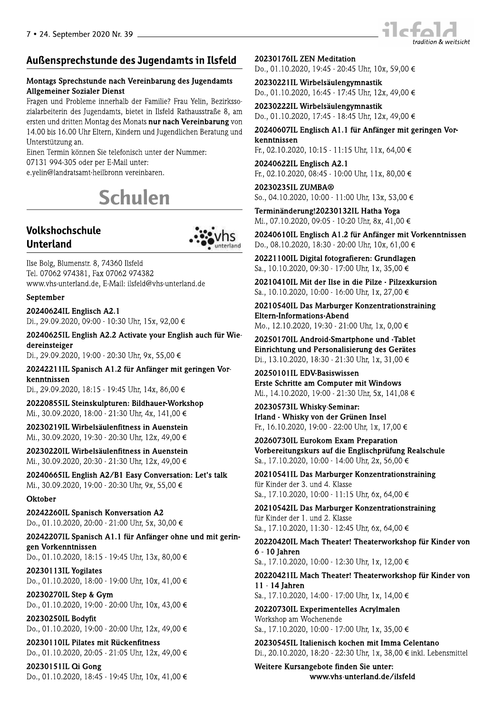## -

 !"#\$ !"% &'#\$ (# \$) \*++ ) & ,&+ -& ./0123453647/89:2;24<332/=0:9462/4.0;<:<2>4./054?2:<3@4A2B</CDD8E B<0:0/92<F2/<3462D4G512360;FD@49<2F2F4<34H:DI2:64J0F=05DDF/0K24L@40;4 2/DF23453646/<FF234M83F01462D4M830FD4#!"% &'#N834 OPQRR49<D4OSQRR4T=/4U:F2/3@4V<362/345364G51236:<W=234A2/0F53145364 T3F2/DFXFB531403Q4 U<3234Y2/;<34CZ33234[<24F2:2I83<DW=453F2/462/4\5;;2/]4 R^O\_O4``PE\_Ra4862/4b2/4UEM0<:453F2/]4 2Qc2:<3d:036/0FD0;FE=2<:9/8334N2/2<390/23Q4 efghijk

### Volkshochschule Unterland



Ilse Bolg, Blumenstr. 8, 74360 Ilsfeld Tel. 07062 974381, Fax 07062 974382<br>www.vhs-unterland.de, E-Mail: ilsfeld@vhs-unterland.de Volkshochschule<br>
Unterland<br>
Ilse Bolg, Blumenstr. 8, 74360 Ilsfeld<br>
Tel. 07062 974381, Fax 07062 974382<br>
www.vhs-unterland.de, E-Mail: ilsfeld@vhs-unterland.de<br>
September<br>
20240624IL Englisch A2.1<br>
Di., 29.09.2020, 09:00

Di., 29.09.2020, 18:15 - 19:45 Uhr, 14x, 86,00 €

20220855IL Steinskulpturen: Bildhauer-Workshop<br>Mi., 30.09.2020, 18:00 - 21:30 Uhr, 4x, 141.00 €

Di., 29.09.2020, 19:00 - 20:30 Uhr, 9x, 55,00 €<br> **20242211IL Spanisch A1.2 für Anfänger mit geringen Vor-**<br>
kenntnissen<br>
Di., 29.09.2020, 18:15 - 19:45 Uhr, 14x, 86,00 €<br> **20220855IL Steinskulpturen: Bildhauer-Workshop**<br>

20230270IL Step & Gym Do., 01.10.2020, 19:00 - 20:00 Uhr, 10x, 43,00 €

20230250IL Bodyfit Do., 01.10.2020, 19:00 - 20:00 Uhr, 12x, 49,00 €

20230110IL Pilates mit Rückenfitness Do., 01.10.2020, 20:05 - 21:05 Uhr, 12x, 49,00 €

20230151IL Qi Gong Do., 01.10.2020, 18:45 - 19:45 Uhr, 10x, 41,00 € **20230176IL ZEN Meditation**<br>Do., 01.10.2020, 19:45 - 20:45 Uhr, 10x, 59,00 €

d 20230176IL ZEN Meditation<br>
Do., 01.10.2020, 19:45 - 20:45 Uhr, 10x, 59,00 €<br>
20230221IL Wirbelsäulengymnastik<br>
Do., 01.10.2020, 16:45 - 17:45 Uhr, 12x, 49,00 €<br>
20230222IL Wirbelsäulengymnastik<br>
Do., 01.10.2020, 16:45

 $\text{So., } 04.10.2020, 10:00 - 11:00 \text{ Uhr}, 13 \text{x}, 53.00 \in \text{S}$ 

Terminänderung!20230132IL Hatha Yoga Mi., 07.10.2020, 09:05 - 10:20 Uhr, 8x, 41.00  $\epsilon$ 

20240610IL Englisch A1.2 für Anfänger mit Vorkenntnissen Do., 08.10.2020, 18:30 - 20:00 Uhr, 10x, 61,00 €

20221100IL Digital fotografieren: Grundlagen  $Sa., 10.10.2020, 09:30 - 17:00$  Uhr, 1x, 35,00 €

20210410IL Mit der Ilse in die Pilze - Pilzexkursion Sa., 10.10.2020, 10:00 - 16:00 Uhr, 1x, 27,00 €

20240610IL Englisch A1.2 für Anfänger mit Vorkenntnissen<br>
Do., 08.10.2020, 18:30 · 20:00 Uhr, 10x, 61,00 €<br>
20221100IL Digital fotografieren: Grundlagen<br>
Sa., 10.10.2020, 09:30 · 17:00 Uhr, 1x, 35,00 €<br>
20210410IL Mit de

Fr., 16.10.2020, 19:00 - 22:00 Uhr, 1x, 17,00 €

202301011L EDV-Basiswissen<br>
Erste Schritte am Computer mit Windows<br>
Mi., 14.10.2020, 19:00 · 21:30 Uhr, 5x, 141,08 €<br>
20230573IL Whisky Seminar:<br>
Irland · Whisky von der Grünen Insel<br>
Fr., 16.10.2020, 19:00 · 22:00 Uhr, 20230573IL Whisky-Seminar:<br>
Irland - Whisky von der Grünen Insel<br>
Fr., 16.10.2020, 19:00 - 22:00 Uhr, 1x, 17,00 €<br>
20260730IL Eurokom Exam Preparation<br>
Vorbereitungskurs auf die Englischprüfung Realschule<br>
Sa., 17.10.202

Sa., 17.10.2020, 14:00 - 17:00 Uhr, 1x, 14,00 €

20220730IL Experimentelles Acrylmalen Workshop am Wochenende  $\text{Sa.}$ , 17.10.2020, 10:00 - 17:00 Uhr, 1x, 35,00 €

**20230545IL Italienisch kochen mit Imma Celentano**<br>Di., 20.10.2020, 18:20 - 22:30 Uhr, 1x, 38,00 € inkl. Lebensmittel Sa., 17.10.2020, 14:00 · 17:00 Uhr, 1x, 14,00 €<br> **20220730IL Experimentelles Acrylmalen**<br>
Workshop am Wochenende<br>
Sa., 17.10.2020, 10:00 · 17:00 Uhr, 1x, 35,00 €<br> **20230545IL Italienisch kochen mit Imma Celentano**<br>
Di.,